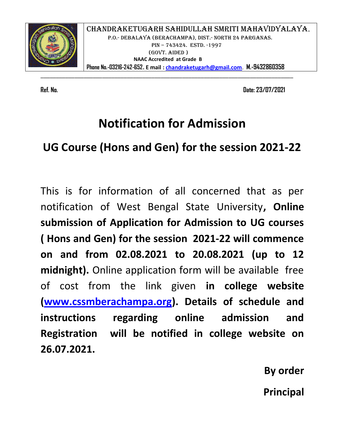

CHANDRAKETUGARH SAHIDULLAH SMRITI MAHAVIDYALAYA**.**  P.O.- DEBALAYA (BERACHAMPA), DIST.- NORTH 24 PARGANAS. PIN - 743424. ESTD. -1997 (GOVT. AIDED )  **NAAC Accredited at Grade B Phone No.-03216-242-652. E mail : chandraketugarh@gmail.com**. **M.-9432860358**

**Ref. No. Date: 23/07/2021** 

## **Notification for Admission**

\_\_\_\_\_\_\_\_\_\_\_\_\_\_\_\_\_\_\_\_\_\_\_\_\_\_\_\_\_\_\_\_\_\_\_\_\_\_\_\_\_\_\_\_\_\_\_\_\_\_\_\_\_\_\_\_\_\_\_\_\_\_\_\_\_\_\_\_\_\_\_\_\_\_\_\_\_\_\_\_\_\_

## **UG Course (Hons and Gen) for the session 2021-22**

This is for information of all concerned that as per notification of West Bengal State University**, Online submission of Application for Admission to UG courses ( Hons and Gen) for the session 2021-22 will commence on and from 02.08.2021 to 20.08.2021 (up to 12 midnight).** Online application form will be available free of cost from the link given **in college website (www.cssmberachampa.org). Details of schedule and instructions regarding online admission and Registration will be notified in college website on 26.07.2021.** 

> **By order Principal**